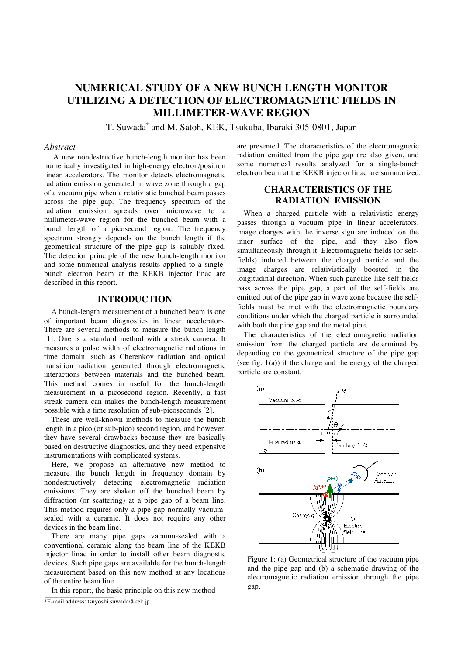# **NUMERICAL STUDY OF A NEW BUNCH LENGTH MONITOR UTILIZING A DETECTION OF ELECTROMAGNETIC FIELDS IN MILLIMETER-WAVE REGION**

T. Suwada\* and M. Satoh, KEK, Tsukuba, Ibaraki 305-0801, Japan

### *Abstract*

A new nondestructive bunch-length monitor has been numerically investigated in high-energy electron/positron linear accelerators. The monitor detects electromagnetic radiation emission generated in wave zone through a gap of a vacuum pipe when a relativistic bunched beam passes across the pipe gap. The frequency spectrum of the radiation emission spreads over microwave to a millimeter-wave region for the bunched beam with a bunch length of a picosecond region. The frequency spectrum strongly depends on the bunch length if the geometrical structure of the pipe gap is suitably fixed. The detection principle of the new bunch-length monitor and some numerical analysis results applied to a singlebunch electron beam at the KEKB injector linac are described in this report.

### **INTRODUCTION**

A bunch-length measurement of a bunched beam is one of important beam diagnostics in linear accelerators. There are several methods to measure the bunch length [1]. One is a standard method with a streak camera. It measures a pulse width of electromagnetic radiations in time domain, such as Cherenkov radiation and optical transition radiation generated through electromagnetic interactions between materials and the bunched beam. This method comes in useful for the bunch-length measurement in a picosecond region. Recently, a fast streak camera can makes the bunch-length measurement possible with a time resolution of sub-picoseconds [2].

These are well-known methods to measure the bunch length in a pico (or sub-pico) second region, and however, they have several drawbacks because they are basically based on destructive diagnostics, and they need expensive instrumentations with complicated systems.

Here, we propose an alternative new method to measure the bunch length in frequency domain by nondestructively detecting electromagnetic radiation emissions. They are shaken off the bunched beam by diffraction (or scattering) at a pipe gap of a beam line. This method requires only a pipe gap normally vacuumsealed with a ceramic. It does not require any other devices in the beam line.

There are many pipe gaps vacuum-sealed with a conventional ceramic along the beam line of the KEKB injector linac in order to install other beam diagnostic devices. Such pipe gaps are available for the bunch-length measurement based on this new method at any locations of the entire beam line

In this report, the basic principle on this new method

are presented. The characteristics of the electromagnetic radiation emitted from the pipe gap are also given, and some numerical results analyzed for a single-bunch electron beam at the KEKB injector linac are summarized.

## **CHARACTERISTICS OF THE RADIATION EMISSION**

When a charged particle with a relativistic energy passes through a vacuum pipe in linear accelerators, image charges with the inverse sign are induced on the inner surface of the pipe, and they also flow simultaneously through it. Electromagnetic fields (or selffields) induced between the charged particle and the image charges are relativistically boosted in the longitudinal direction. When such pancake-like self-fields pass across the pipe gap, a part of the self-fields are emitted out of the pipe gap in wave zone because the selffields must be met with the electromagnetic boundary conditions under which the charged particle is surrounded with both the pipe gap and the metal pipe.

The characteristics of the electromagnetic radiation emission from the charged particle are determined by depending on the geometrical structure of the pipe gap (see fig. 1(a)) if the charge and the energy of the charged particle are constant.



Figure 1: (a) Geometrical structure of the vacuum pipe and the pipe gap and (b) a schematic drawing of the electromagnetic radiation emission through the pipe gap.

<sup>\*</sup>E-mail address: tsuyoshi.suwada@kek.jp.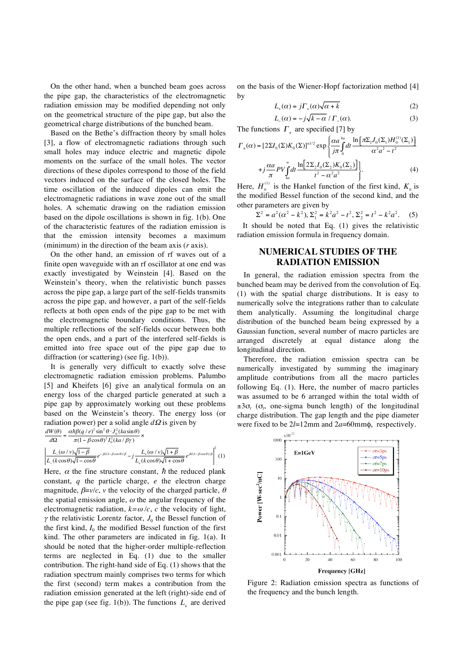On the other hand, when a bunched beam goes across the pipe gap, the characteristics of the electromagnetic radiation emission may be modified depending not only on the geometrical structure of the pipe gap, but also the geometrical charge distributions of the bunched beam.

Based on the Bethe's diffraction theory by small holes [3], a flow of electromagnetic radiations through such small holes may induce electric and magnetic dipole moments on the surface of the small holes. The vector directions of these dipoles correspond to those of the field vectors induced on the surface of the closed holes. The time oscillation of the induced dipoles can emit the electromagnetic radiations in wave zone out of the small holes. A schematic drawing on the radiation emission based on the dipole oscillations is shown in fig. 1(b). One of the characteristic features of the radiation emission is that the emission intensity becomes a maximum (minimum) in the direction of the beam axis (*r* axis).

On the other hand, an emission of rf waves out of a finite open waveguide with an rf oscillator at one end was exactly investigated by Weinstein [4]. Based on the Weinstein's theory, when the relativistic bunch passes across the pipe gap, a large part of the self-fields transmits across the pipe gap, and however, a part of the self-fields reflects at both open ends of the pipe gap to be met with the electromagnetic boundary conditions. Thus, the multiple reflections of the self-fields occur between both the open ends, and a part of the interfered self-fields is emitted into free space out of the pipe gap due to diffraction (or scattering) (see fig. 1(b)).

It is generally very difficult to exactly solve these electromagnetic radiation emission problems. Palumbo [5] and Kheifets [6] give an analytical formula on an energy loss of the charged particle generated at such a pipe gap by approximately working out these problems based on the Weinstein's theory. The energy loss (or radiation power) per a solid angle *d*<sup>Ω</sup> is given by

 $\frac{dW(\theta)}{d\theta} = \frac{\alpha \hbar \beta (q/e)^2 \sin^2 \theta \cdot J_0^2 (k a \sin \theta)}{\alpha^2 \theta^2 J_0^2 (k a \sin \theta)} \times$ 

 $d\Omega$  $\pi(1 - \beta \cos \theta)^2 I_0^2(ka/\beta \gamma)$ 

$$
\left| \frac{L_{-}(\omega/v)\sqrt{1-\beta}}{L_{-}(k\cos\theta)\sqrt{1-\cos\theta}} e^{-jkl(1-\beta\cos\theta)/\beta} - j \frac{L_{+}(\omega/v)\sqrt{1+\beta}}{L_{+}(k\cos\theta)\sqrt{1+\cos\theta}} e^{jkl(1-\beta\cos\theta)/\beta} \right|^2 (1)
$$

Here,  $\alpha$  the fine structure constant,  $\hbar$  the reduced plank constant, *q* the particle charge, *e* the electron charge magnitude,  $\beta = v/c$ , *v* the velocity of the charged particle,  $\theta$ the spatial emission angle,  $\omega$  the angular frequency of the electromagnetic radiation,  $k = \omega/c$ , *c* the velocity of light,  $\gamma$  the relativistic Lorentz factor,  $J_0$  the Bessel function of the first kind,  $I_0$  the modified Bessel function of the first kind. The other parameters are indicated in fig. 1(a). It should be noted that the higher-order multiple-reflection terms are neglected in Eq. (1) due to the smaller contribution. The right-hand side of Eq. (1) shows that the radiation spectrum mainly comprises two terms for which the first (second) term makes a contribution from the radiation emission generated at the left (right)-side end of the pipe gap (see fig. 1(b)). The functions  $L_{\pm}$  are derived

on the basis of the Wiener-Hopf factorization method [4] by

$$
L_{+}(\alpha) = j\Gamma_{+}(\alpha)\sqrt{\alpha + k} \tag{2}
$$

$$
L_{-}(\alpha) = -j\sqrt{k-\alpha} / \Gamma_{-}(\alpha). \tag{3}
$$

The functions  $\Gamma_z$  are specified [7] by

$$
\Gamma_{\pm}(\alpha) = [2\Sigma I_0(\Sigma)K_0(\Sigma)]^{\pm 1/2} \exp\left\{\frac{\alpha a^{k\alpha}}{j\pi} \int_0^{k\alpha} dt \frac{\ln[\pi \Sigma_1 J_0(\Sigma_1)H_0^{(1)}(\Sigma_1)]}{\alpha^2 a^2 - t^2} + j \frac{\alpha a}{\pi} P V \int_{k\alpha}^{\infty} dt \frac{\ln[2\Sigma_2 I_0(\Sigma_2)K_0(\Sigma_2)]}{t^2 - \alpha^2 a^2} \right\}.
$$
 (4)

Here,  $H_0^{(1)}$  is the Hankel function of the first kind,  $K_0$  is the modified Bessel function of the second kind, and the other parameters are given by

$$
\Sigma^2 = a^2(\alpha^2 - k^2), \Sigma_1^2 = k^2 a^2 - t^2, \Sigma_2^2 = t^2 - k^2 a^2. \tag{5}
$$

It should be noted that Eq. (1) gives the relativistic radiation emission formula in frequency domain.

## **NUMERICAL STUDIES OF THE RADIATION EMISSION**

In general, the radiation emission spectra from the bunched beam may be derived from the convolution of Eq. (1) with the spatial charge distributions. It is easy to numerically solve the integrations rather than to calculate them analytically. Assuming the longitudinal charge distribution of the bunched beam being expressed by a Gaussian function, several number of macro particles are arranged discretely at equal distance along the longitudinal direction.

Therefore, the radiation emission spectra can be numerically investigated by summing the imaginary amplitude contributions from all the macro particles following Eq. (1). Here, the number of macro particles was assumed to be 6 arranged within the total width of  $\pm 3\sigma_t$  ( $\sigma_t$ , one-sigma bunch length) of the longitudinal charge distribution. The gap length and the pipe diameter were fixed to be 2*l*=12mm and 2*a*=60mmφ, respectively.



Figure 2: Radiation emission spectra as functions of the frequency and the bunch length.